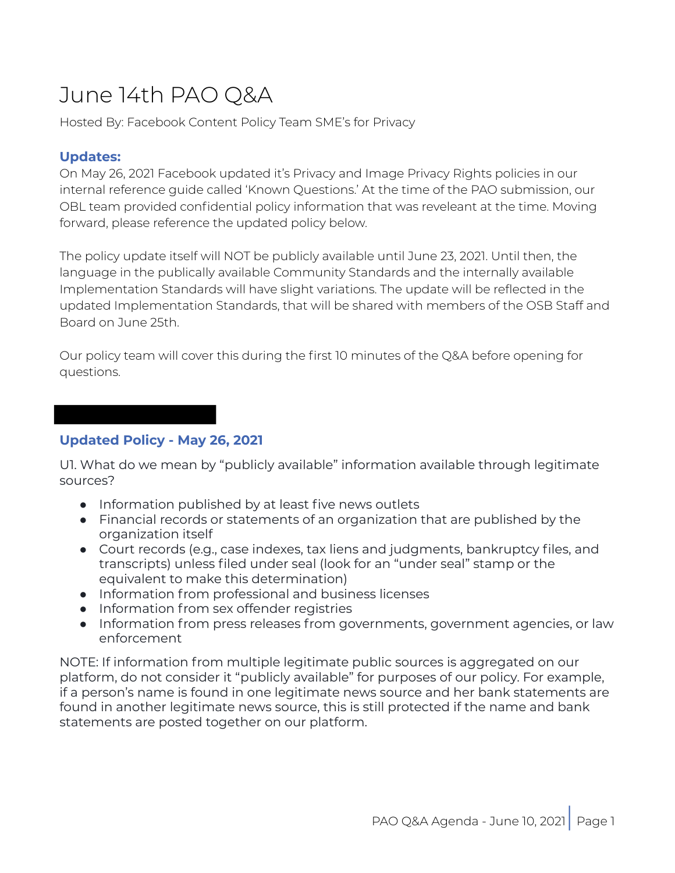# June 14th PAO Q&A

Hosted By: Facebook Content Policy Team SME's for Privacy

#### **Updates:**

On May 26, 2021 Facebook updated it's Privacy and Image Privacy Rights policies in our internal reference guide called 'Known Questions.' At the time of the PAO submission, our OBL team provided confidential policy information that was reveleant at the time. Moving forward, please reference the updated policy below.

The policy update itself will NOT be publicly available until June 23, 2021. Until then, the language in the publically available Community Standards and the internally available Implementation Standards will have slight variations. The update will be reflected in the updated Implementation Standards, that will be shared with members of the OSB Staff and Board on June 25th.

Our policy team will cover this during the first 10 minutes of the Q&A before opening for questions.

## **Updated Policy - May 26, 2021**

U1. What do we mean by "publicly available" information available through legitimate sources?

- Information published by at least five news outlets
- Financial records or statements of an organization that are published by the organization itself
- Court records (e.g., case indexes, tax liens and judgments, bankruptcy files, and transcripts) unless filed under seal (look for an "under seal" stamp or the equivalent to make this determination)
- Information from professional and business licenses
- Information from sex offender registries
- Information from press releases from governments, government agencies, or law enforcement

NOTE: If information from multiple legitimate public sources is aggregated on our platform, do not consider it "publicly available" for purposes of our policy. For example, if a person's name is found in one legitimate news source and her bank statements are found in another legitimate news source, this is still protected if the name and bank statements are posted together on our platform.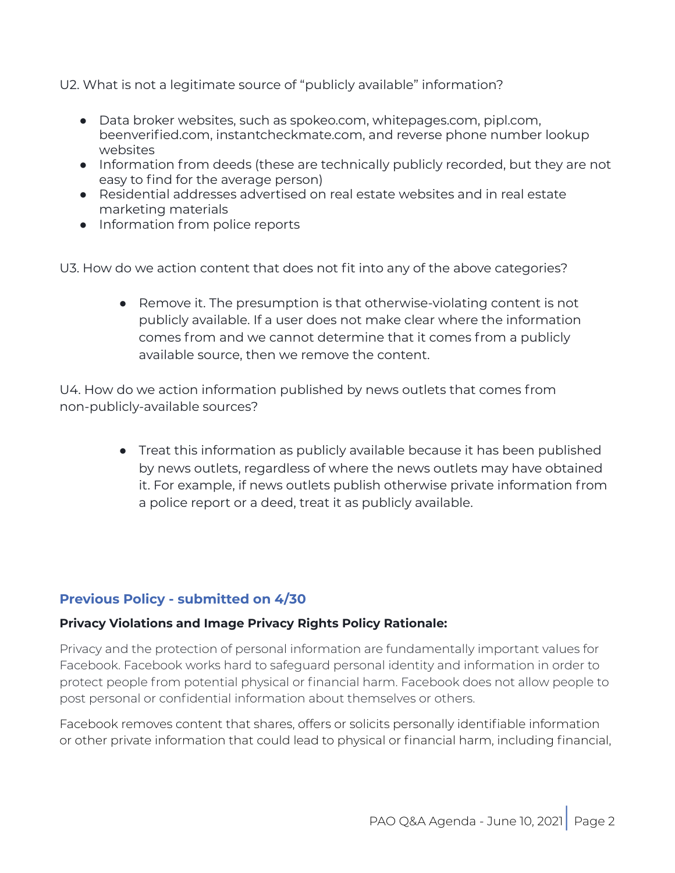U2. What is not a legitimate source of "publicly available" information?

- Data broker websites, such as spokeo.com, whitepages.com, pipl.com, beenverified.com, instantcheckmate.com, and reverse phone number lookup websites
- Information from deeds (these are technically publicly recorded, but they are not easy to find for the average person)
- Residential addresses advertised on real estate websites and in real estate marketing materials
- Information from police reports

U3. How do we action content that does not fit into any of the above categories?

● Remove it. The presumption is that otherwise-violating content is not publicly available. If a user does not make clear where the information comes from and we cannot determine that it comes from a publicly available source, then we remove the content.

U4. How do we action information published by news outlets that comes from non-publicly-available sources?

> ● Treat this information as publicly available because it has been published by news outlets, regardless of where the news outlets may have obtained it. For example, if news outlets publish otherwise private information from a police report or a deed, treat it as publicly available.

## **Previous Policy - submitted on 4/30**

#### **Privacy Violations and Image Privacy Rights Policy Rationale:**

Privacy and the protection of personal information are fundamentally important values for Facebook. Facebook works hard to safeguard personal identity and information in order to protect people from potential physical or financial harm. Facebook does not allow people to post personal or confidential information about themselves or others.

Facebook removes content that shares, offers or solicits personally identifiable information or other private information that could lead to physical or financial harm, including financial,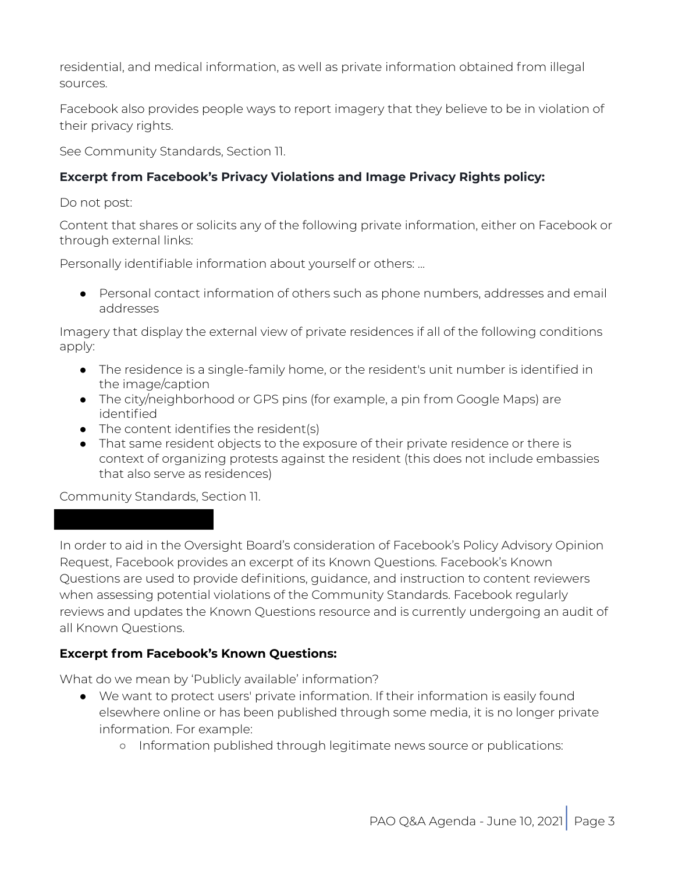residential, and medical information, as well as private information obtained from illegal sources.

Facebook also provides people ways to report imagery that they believe to be in violation of their privacy rights.

See Community Standards, Section 11.

## **Excerpt from Facebook's Privacy Violations and Image Privacy Rights policy:**

Do not post:

Content that shares or solicits any of the following private information, either on Facebook or through external links:

Personally identifiable information about yourself or others: ...

● Personal contact information of others such as phone numbers, addresses and email addresses

Imagery that display the external view of private residences if all of the following conditions apply:

- The residence is a single-family home, or the resident's unit number is identified in the image/caption
- The city/neighborhood or GPS pins (for example, a pin from Google Maps) are identified
- $\bullet$  The content identifies the resident(s)
- That same resident objects to the exposure of their private residence or there is context of organizing protests against the resident (this does not include embassies that also serve as residences)

Community Standards, Section 11.

In order to aid in the Oversight Board's consideration of Facebook's Policy Advisory Opinion Request, Facebook provides an excerpt of its Known Questions. Facebook's Known Questions are used to provide definitions, guidance, and instruction to content reviewers when assessing potential violations of the Community Standards. Facebook regularly reviews and updates the Known Questions resource and is currently undergoing an audit of all Known Questions.

## **Excerpt from Facebook's Known Questions:**

What do we mean by 'Publicly available' information?

- We want to protect users' private information. If their information is easily found elsewhere online or has been published through some media, it is no longer private information. For example:
	- Information published through legitimate news source or publications: